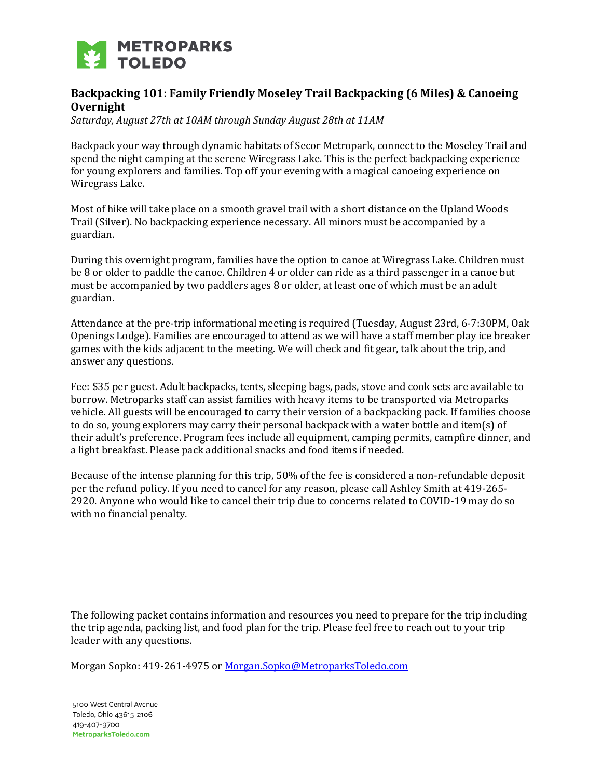

# **Backpacking 101: Family Friendly Moseley Trail Backpacking (6 Miles) & Canoeing Overnight**

*Saturday, August 27th at 10AM through Sunday August 28th at 11AM*

Backpack your way through dynamic habitats of Secor Metropark, connect to the Moseley Trail and spend the night camping at the serene Wiregrass Lake. This is the perfect backpacking experience for young explorers and families. Top off your evening with a magical canoeing experience on Wiregrass Lake.

Most of hike will take place on a smooth gravel trail with a short distance on the Upland Woods Trail (Silver). No backpacking experience necessary. All minors must be accompanied by a guardian.

During this overnight program, families have the option to canoe at Wiregrass Lake. Children must be 8 or older to paddle the canoe. Children 4 or older can ride as a third passenger in a canoe but must be accompanied by two paddlers ages 8 or older, at least one of which must be an adult guardian.

Attendance at the pre-trip informational meeting is required (Tuesday, August 23rd, 6-7:30PM, Oak Openings Lodge). Families are encouraged to attend as we will have a staff member play ice breaker games with the kids adjacent to the meeting. We will check and fit gear, talk about the trip, and answer any questions.

Fee: \$35 per guest. Adult backpacks, tents, sleeping bags, pads, stove and cook sets are available to borrow. Metroparks staff can assist families with heavy items to be transported via Metroparks vehicle. All guests will be encouraged to carry their version of a backpacking pack. If families choose to do so, young explorers may carry their personal backpack with a water bottle and item(s) of their adult's preference. Program fees include all equipment, camping permits, campfire dinner, and a light breakfast. Please pack additional snacks and food items if needed.

Because of the intense planning for this trip, 50% of the fee is considered a non-refundable deposit per the refund policy. If you need to cancel for any reason, please call Ashley Smith at 419-265- 2920. Anyone who would like to cancel their trip due to concerns related to COVID-19 may do so with no financial penalty.

The following packet contains information and resources you need to prepare for the trip including the trip agenda, packing list, and food plan for the trip. Please feel free to reach out to your trip leader with any questions.

Morgan Sopko: 419-261-4975 o[r Morgan.Sopko@MetroparksToledo.com](mailto:Morgan.Sopko@MetroparksToledo.com)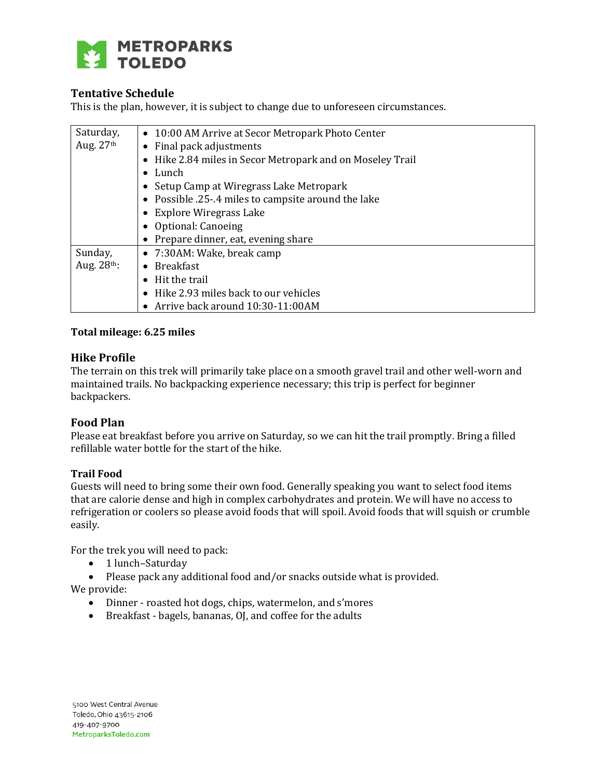

# **Tentative Schedule**

This is the plan, however, it is subject to change due to unforeseen circumstances.

| Saturday,   | • 10:00 AM Arrive at Secor Metropark Photo Center         |
|-------------|-----------------------------------------------------------|
| Aug. $27th$ | • Final pack adjustments                                  |
|             | • Hike 2.84 miles in Secor Metropark and on Moseley Trail |
|             | $\bullet$ Lunch                                           |
|             | • Setup Camp at Wiregrass Lake Metropark                  |
|             | • Possible .25-.4 miles to campsite around the lake       |
|             | • Explore Wiregrass Lake                                  |
|             | • Optional: Canoeing                                      |
|             | • Prepare dinner, eat, evening share                      |
| Sunday,     | • 7:30AM: Wake, break camp                                |
| Aug. 28th:  | $\bullet$ Breakfast                                       |
|             | Hit the trail                                             |
|             | • Hike 2.93 miles back to our vehicles                    |
|             | • Arrive back around 10:30-11:00AM                        |

#### **Total mileage: 6.25 miles**

#### **Hike Profile**

The terrain on this trek will primarily take place on a smooth gravel trail and other well-worn and maintained trails. No backpacking experience necessary; this trip is perfect for beginner backpackers.

### **Food Plan**

Please eat breakfast before you arrive on Saturday, so we can hit the trail promptly. Bring a filled refillable water bottle for the start of the hike.

#### **Trail Food**

Guests will need to bring some their own food. Generally speaking you want to select food items that are calorie dense and high in complex carbohydrates and protein. We will have no access to refrigeration or coolers so please avoid foods that will spoil. Avoid foods that will squish or crumble easily.

For the trek you will need to pack:

- 1 lunch-Saturday
- Please pack any additional food and/or snacks outside what is provided.

We provide:

- Dinner roasted hot dogs, chips, watermelon, and s'mores
- Breakfast bagels, bananas, OJ, and coffee for the adults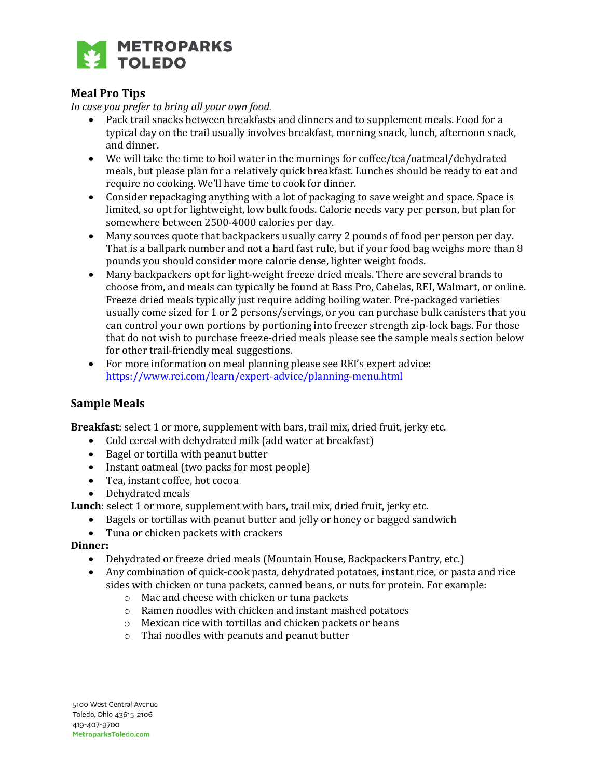

# **Meal Pro Tips**

*In case you prefer to bring all your own food.*

- Pack trail snacks between breakfasts and dinners and to supplement meals. Food for a typical day on the trail usually involves breakfast, morning snack, lunch, afternoon snack, and dinner.
- We will take the time to boil water in the mornings for coffee/tea/oatmeal/dehydrated meals, but please plan for a relatively quick breakfast. Lunches should be ready to eat and require no cooking. We'll have time to cook for dinner.
- Consider repackaging anything with a lot of packaging to save weight and space. Space is limited, so opt for lightweight, low bulk foods. Calorie needs vary per person, but plan for somewhere between 2500-4000 calories per day.
- Many sources quote that backpackers usually carry 2 pounds of food per person per day. That is a ballpark number and not a hard fast rule, but if your food bag weighs more than 8 pounds you should consider more calorie dense, lighter weight foods.
- Many backpackers opt for light-weight freeze dried meals. There are several brands to choose from, and meals can typically be found at Bass Pro, Cabelas, REI, Walmart, or online. Freeze dried meals typically just require adding boiling water. Pre-packaged varieties usually come sized for 1 or 2 persons/servings, or you can purchase bulk canisters that you can control your own portions by portioning into freezer strength zip-lock bags. For those that do not wish to purchase freeze-dried meals please see the sample meals section below for other trail-friendly meal suggestions.
- For more information on meal planning please see REI's expert advice: <https://www.rei.com/learn/expert-advice/planning-menu.html>

# **Sample Meals**

**Breakfast**: select 1 or more, supplement with bars, trail mix, dried fruit, jerky etc.

- Cold cereal with dehydrated milk (add water at breakfast)
- Bagel or tortilla with peanut butter
- Instant oatmeal (two packs for most people)
- Tea, instant coffee, hot cocoa
- Dehydrated meals

**Lunch**: select 1 or more, supplement with bars, trail mix, dried fruit, jerky etc.

- Bagels or tortillas with peanut butter and jelly or honey or bagged sandwich
- Tuna or chicken packets with crackers

### **Dinner:**

- Dehydrated or freeze dried meals (Mountain House, Backpackers Pantry, etc.)
- Any combination of quick-cook pasta, dehydrated potatoes, instant rice, or pasta and rice sides with chicken or tuna packets, canned beans, or nuts for protein. For example:
	- o Mac and cheese with chicken or tuna packets
	- o Ramen noodles with chicken and instant mashed potatoes
	- o Mexican rice with tortillas and chicken packets or beans
	- o Thai noodles with peanuts and peanut butter

5100 West Central Avenue Toledo, Ohio 43615-2106 419-407-9700 MetroparksToledo.com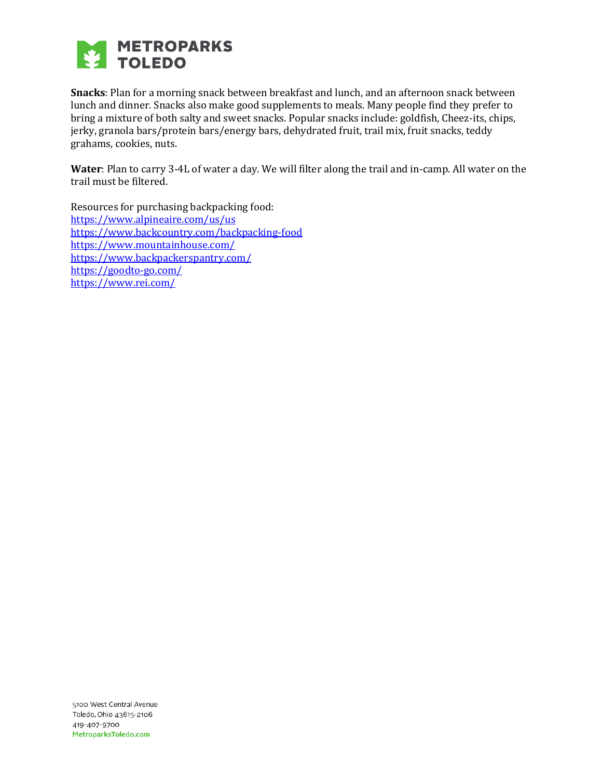

**Snacks**: Plan for a morning snack between breakfast and lunch, and an afternoon snack between lunch and dinner. Snacks also make good supplements to meals. Many people find they prefer to bring a mixture of both salty and sweet snacks. Popular snacks include: goldfish, Cheez-its, chips, jerky, granola bars/protein bars/energy bars, dehydrated fruit, trail mix, fruit snacks, teddy grahams, cookies, nuts.

**Water**: Plan to carry 3-4L of water a day. We will filter along the trail and in-camp. All water on the trail must be filtered.

Resources for purchasing backpacking food: <https://www.alpineaire.com/us/us> <https://www.backcountry.com/backpacking-food> <https://www.mountainhouse.com/> <https://www.backpackerspantry.com/> <https://goodto-go.com/> <https://www.rei.com/>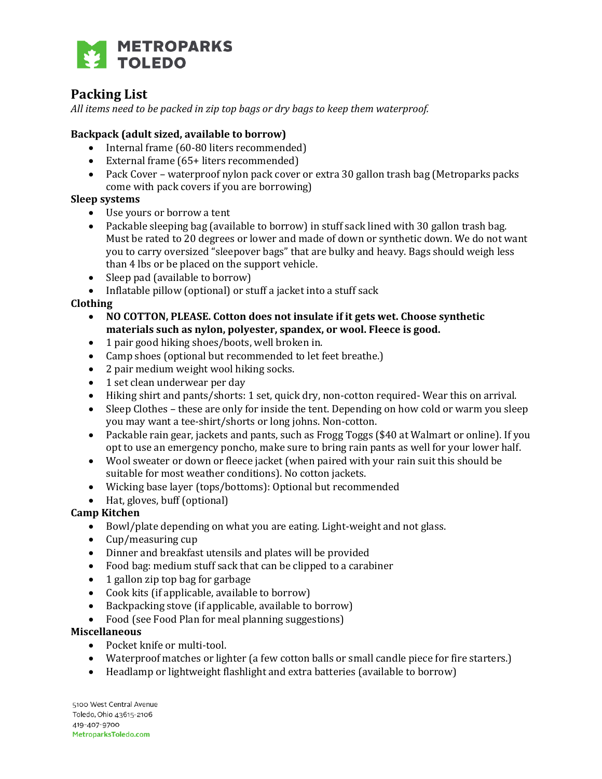

# **Packing List**

*All items need to be packed in zip top bags or dry bags to keep them waterproof.* 

## **Backpack (adult sized, available to borrow)**

- Internal frame (60-80 liters recommended)
- External frame (65+ liters recommended)
- Pack Cover waterproof nylon pack cover or extra 30 gallon trash bag (Metroparks packs) come with pack covers if you are borrowing)

### **Sleep systems**

- Use yours or borrow a tent
- Packable sleeping bag (available to borrow) in stuff sack lined with 30 gallon trash bag. Must be rated to 20 degrees or lower and made of down or synthetic down. We do not want you to carry oversized "sleepover bags" that are bulky and heavy. Bags should weigh less than 4 lbs or be placed on the support vehicle.
- Sleep pad (available to borrow)
- Inflatable pillow (optional) or stuff a jacket into a stuff sack

#### **Clothing**

- **NO COTTON, PLEASE. Cotton does not insulate if it gets wet. Choose synthetic materials such as nylon, polyester, spandex, or wool. Fleece is good.**
- 1 pair good hiking shoes/boots, well broken in.
- Camp shoes (optional but recommended to let feet breathe.)
- 2 pair medium weight wool hiking socks.
- 1 set clean underwear per day
- Hiking shirt and pants/shorts: 1 set, quick dry, non-cotton required- Wear this on arrival.
- Sleep Clothes these are only for inside the tent. Depending on how cold or warm you sleep you may want a tee-shirt/shorts or long johns. Non-cotton.
- Packable rain gear, jackets and pants, such as Frogg Toggs (\$40 at Walmart or online). If you opt to use an emergency poncho, make sure to bring rain pants as well for your lower half.
- Wool sweater or down or fleece jacket (when paired with your rain suit this should be suitable for most weather conditions). No cotton jackets.
- Wicking base layer (tops/bottoms): Optional but recommended
- Hat, gloves, buff (optional)

### **Camp Kitchen**

- Bowl/plate depending on what you are eating. Light-weight and not glass.
- Cup/measuring cup
- Dinner and breakfast utensils and plates will be provided
- Food bag: medium stuff sack that can be clipped to a carabiner
- 1 gallon zip top bag for garbage
- Cook kits (if applicable, available to borrow)
- Backpacking stove (if applicable, available to borrow)
- Food (see Food Plan for meal planning suggestions)

#### **Miscellaneous**

- Pocket knife or multi-tool.
- Waterproof matches or lighter (a few cotton balls or small candle piece for fire starters.)
- Headlamp or lightweight flashlight and extra batteries (available to borrow)

5100 West Central Avenue Toledo, Ohio 43615-2106 419-407-9700 MetroparksToledo.com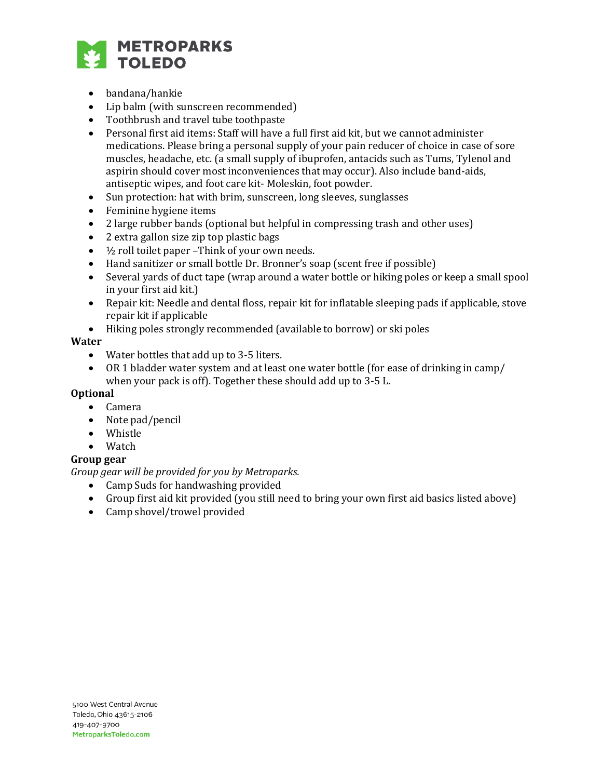

- bandana/hankie
- Lip balm (with sunscreen recommended)
- Toothbrush and travel tube toothpaste
- Personal first aid items: Staff will have a full first aid kit, but we cannot administer medications. Please bring a personal supply of your pain reducer of choice in case of sore muscles, headache, etc. (a small supply of ibuprofen, antacids such as Tums, Tylenol and aspirin should cover most inconveniences that may occur). Also include band-aids, antiseptic wipes, and foot care kit- Moleskin, foot powder.
- Sun protection: hat with brim, sunscreen, long sleeves, sunglasses
- Feminine hygiene items
- 2 large rubber bands (optional but helpful in compressing trash and other uses)
- 2 extra gallon size zip top plastic bags
- $\bullet$   $\frac{1}{2}$  roll toilet paper -Think of your own needs.
- Hand sanitizer or small bottle Dr. Bronner's soap (scent free if possible)
- Several yards of duct tape (wrap around a water bottle or hiking poles or keep a small spool in your first aid kit.)
- Repair kit: Needle and dental floss, repair kit for inflatable sleeping pads if applicable, stove repair kit if applicable
- Hiking poles strongly recommended (available to borrow) or ski poles

#### **Water**

- Water bottles that add up to 3-5 liters.
- OR 1 bladder water system and at least one water bottle (for ease of drinking in camp/ when your pack is off). Together these should add up to 3-5 L.

### **Optional**

- Camera
- Note pad/pencil
- Whistle
- Watch

### **Group gear**

*Group gear will be provided for you by Metroparks.* 

- Camp Suds for handwashing provided
- Group first aid kit provided (you still need to bring your own first aid basics listed above)
- Camp shovel/trowel provided